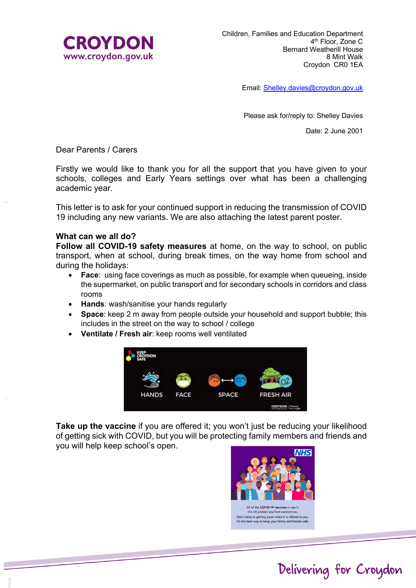

Email: Shelley.davies@croydon.gov.uk

Please ask for/reply to: Shelley Davies

Date: 2 June 2001

Dear Parents / Carers

Firstly we would like to thank you for all the support that you have given to your schools, colleges and Early Years settings over what has been a challenging academic year.

This letter is to ask for your continued support in reducing the transmission of COVID 19 including any new variants. We are also attaching the latest parent poster.

## **What can we all do?**

**Follow all COVID-19 safety measures** at home, on the way to school, on public transport, when at school, during break times, on the way home from school and during the holidays:

- **Face:** using face coverings as much as possible, for example when queueing, inside the supermarket, on public transport and for secondary schools in corridors and class rooms
- **Hands**: wash/sanitise your hands regularly
- **Space**: keep 2 m away from people outside your household and support bubble; this includes in the street on the way to school / college
- **Ventilate / Fresh air**: keep rooms well ventilated



**Take up the vaccine** if you are offered it; you won't just be reducing your likelihood of getting sick with COVID, but you will be protecting family members and friends and you will help keep school's open.



Delivering for Croydon